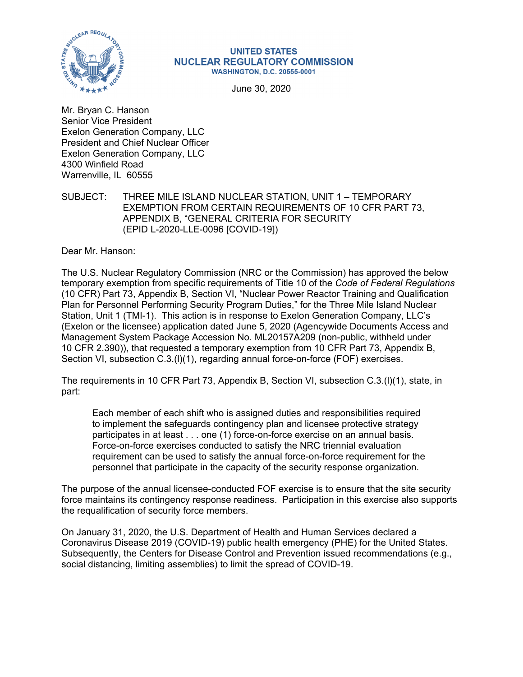

#### **UNITED STATES NUCLEAR REGULATORY COMMISSION WASHINGTON, D.C. 20555-0001**

June 30, 2020

Mr. Bryan C. Hanson Senior Vice President Exelon Generation Company, LLC President and Chief Nuclear Officer Exelon Generation Company, LLC 4300 Winfield Road Warrenville, IL 60555

SUBJECT: THREE MILE ISLAND NUCLEAR STATION, UNIT 1 – TEMPORARY EXEMPTION FROM CERTAIN REQUIREMENTS OF 10 CFR PART 73, APPENDIX B, "GENERAL CRITERIA FOR SECURITY (EPID L-2020-LLE-0096 [COVID-19])

Dear Mr. Hanson:

The U.S. Nuclear Regulatory Commission (NRC or the Commission) has approved the below temporary exemption from specific requirements of Title 10 of the *Code of Federal Regulations* (10 CFR) Part 73, Appendix B, Section VI, "Nuclear Power Reactor Training and Qualification Plan for Personnel Performing Security Program Duties," for the Three Mile Island Nuclear Station, Unit 1 (TMI-1). This action is in response to Exelon Generation Company, LLC's (Exelon or the licensee) application dated June 5, 2020 (Agencywide Documents Access and Management System Package Accession No. ML20157A209 (non-public, withheld under 10 CFR 2.390)), that requested a temporary exemption from 10 CFR Part 73, Appendix B, Section VI, subsection C.3.(I)(1), regarding annual force-on-force (FOF) exercises.

The requirements in 10 CFR Part 73, Appendix B, Section VI, subsection C.3.(l)(1), state, in part:

Each member of each shift who is assigned duties and responsibilities required to implement the safeguards contingency plan and licensee protective strategy participates in at least . . . one (1) force-on-force exercise on an annual basis. Force-on-force exercises conducted to satisfy the NRC triennial evaluation requirement can be used to satisfy the annual force-on-force requirement for the personnel that participate in the capacity of the security response organization.

The purpose of the annual licensee-conducted FOF exercise is to ensure that the site security force maintains its contingency response readiness. Participation in this exercise also supports the requalification of security force members.

On January 31, 2020, the U.S. Department of Health and Human Services declared a Coronavirus Disease 2019 (COVID-19) public health emergency (PHE) for the United States. Subsequently, the Centers for Disease Control and Prevention issued recommendations (e.g., social distancing, limiting assemblies) to limit the spread of COVID-19.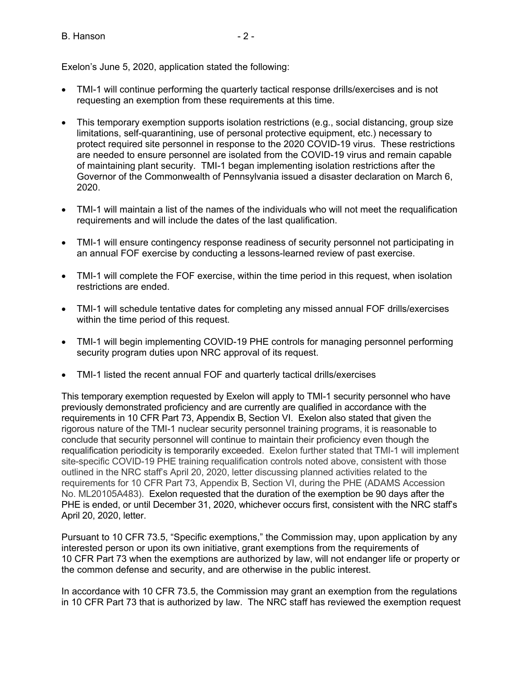B. Hanson **B.** - 2 -

Exelon's June 5, 2020, application stated the following:

- TMI-1 will continue performing the quarterly tactical response drills/exercises and is not requesting an exemption from these requirements at this time.
- This temporary exemption supports isolation restrictions (e.g., social distancing, group size limitations, self-quarantining, use of personal protective equipment, etc.) necessary to protect required site personnel in response to the 2020 COVID-19 virus. These restrictions are needed to ensure personnel are isolated from the COVID-19 virus and remain capable of maintaining plant security. TMI-1 began implementing isolation restrictions after the Governor of the Commonwealth of Pennsylvania issued a disaster declaration on March 6, 2020.
- TMI-1 will maintain a list of the names of the individuals who will not meet the requalification requirements and will include the dates of the last qualification.
- TMI-1 will ensure contingency response readiness of security personnel not participating in an annual FOF exercise by conducting a lessons-learned review of past exercise.
- TMI-1 will complete the FOF exercise, within the time period in this request, when isolation restrictions are ended.
- TMI-1 will schedule tentative dates for completing any missed annual FOF drills/exercises within the time period of this request.
- TMI-1 will begin implementing COVID-19 PHE controls for managing personnel performing security program duties upon NRC approval of its request.
- TMI-1 listed the recent annual FOF and quarterly tactical drills/exercises

This temporary exemption requested by Exelon will apply to TMI-1 security personnel who have previously demonstrated proficiency and are currently are qualified in accordance with the requirements in 10 CFR Part 73, Appendix B, Section VI. Exelon also stated that given the rigorous nature of the TMI-1 nuclear security personnel training programs, it is reasonable to conclude that security personnel will continue to maintain their proficiency even though the requalification periodicity is temporarily exceeded. Exelon further stated that TMI-1 will implement site-specific COVID-19 PHE training requalification controls noted above, consistent with those outlined in the NRC staff's April 20, 2020, letter discussing planned activities related to the requirements for 10 CFR Part 73, Appendix B, Section VI, during the PHE (ADAMS Accession No. ML20105A483). Exelon requested that the duration of the exemption be 90 days after the PHE is ended, or until December 31, 2020, whichever occurs first, consistent with the NRC staff's April 20, 2020, letter.

Pursuant to 10 CFR 73.5, "Specific exemptions," the Commission may, upon application by any interested person or upon its own initiative, grant exemptions from the requirements of 10 CFR Part 73 when the exemptions are authorized by law, will not endanger life or property or the common defense and security, and are otherwise in the public interest.

In accordance with 10 CFR 73.5, the Commission may grant an exemption from the regulations in 10 CFR Part 73 that is authorized by law. The NRC staff has reviewed the exemption request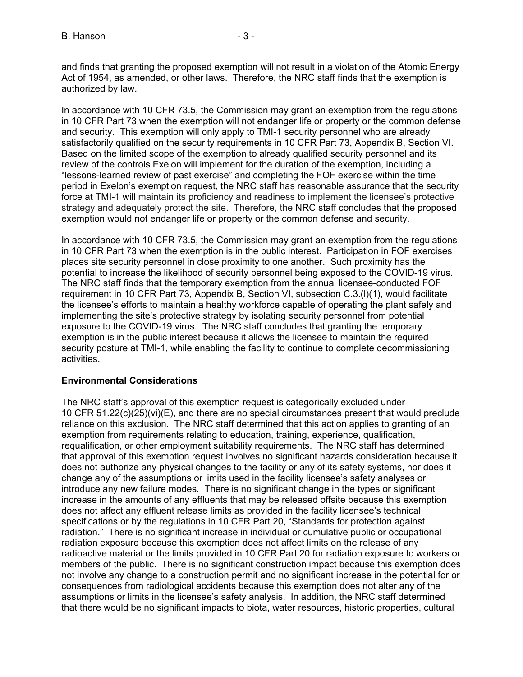and finds that granting the proposed exemption will not result in a violation of the Atomic Energy Act of 1954, as amended, or other laws. Therefore, the NRC staff finds that the exemption is authorized by law.

In accordance with 10 CFR 73.5, the Commission may grant an exemption from the regulations in 10 CFR Part 73 when the exemption will not endanger life or property or the common defense and security. This exemption will only apply to TMI-1 security personnel who are already satisfactorily qualified on the security requirements in 10 CFR Part 73, Appendix B, Section VI. Based on the limited scope of the exemption to already qualified security personnel and its review of the controls Exelon will implement for the duration of the exemption, including a "lessons-learned review of past exercise" and completing the FOF exercise within the time period in Exelon's exemption request, the NRC staff has reasonable assurance that the security force at TMI-1 will maintain its proficiency and readiness to implement the licensee's protective strategy and adequately protect the site. Therefore, the NRC staff concludes that the proposed exemption would not endanger life or property or the common defense and security.

In accordance with 10 CFR 73.5, the Commission may grant an exemption from the regulations in 10 CFR Part 73 when the exemption is in the public interest. Participation in FOF exercises places site security personnel in close proximity to one another. Such proximity has the potential to increase the likelihood of security personnel being exposed to the COVID-19 virus. The NRC staff finds that the temporary exemption from the annual licensee-conducted FOF requirement in 10 CFR Part 73, Appendix B, Section VI, subsection C.3.(l)(1), would facilitate the licensee's efforts to maintain a healthy workforce capable of operating the plant safely and implementing the site's protective strategy by isolating security personnel from potential exposure to the COVID-19 virus. The NRC staff concludes that granting the temporary exemption is in the public interest because it allows the licensee to maintain the required security posture at TMI-1, while enabling the facility to continue to complete decommissioning activities.

# **Environmental Considerations**

The NRC staff's approval of this exemption request is categorically excluded under 10 CFR 51.22(c)(25)(vi)(E), and there are no special circumstances present that would preclude reliance on this exclusion. The NRC staff determined that this action applies to granting of an exemption from requirements relating to education, training, experience, qualification, requalification, or other employment suitability requirements. The NRC staff has determined that approval of this exemption request involves no significant hazards consideration because it does not authorize any physical changes to the facility or any of its safety systems, nor does it change any of the assumptions or limits used in the facility licensee's safety analyses or introduce any new failure modes. There is no significant change in the types or significant increase in the amounts of any effluents that may be released offsite because this exemption does not affect any effluent release limits as provided in the facility licensee's technical specifications or by the regulations in 10 CFR Part 20, "Standards for protection against radiation." There is no significant increase in individual or cumulative public or occupational radiation exposure because this exemption does not affect limits on the release of any radioactive material or the limits provided in 10 CFR Part 20 for radiation exposure to workers or members of the public. There is no significant construction impact because this exemption does not involve any change to a construction permit and no significant increase in the potential for or consequences from radiological accidents because this exemption does not alter any of the assumptions or limits in the licensee's safety analysis. In addition, the NRC staff determined that there would be no significant impacts to biota, water resources, historic properties, cultural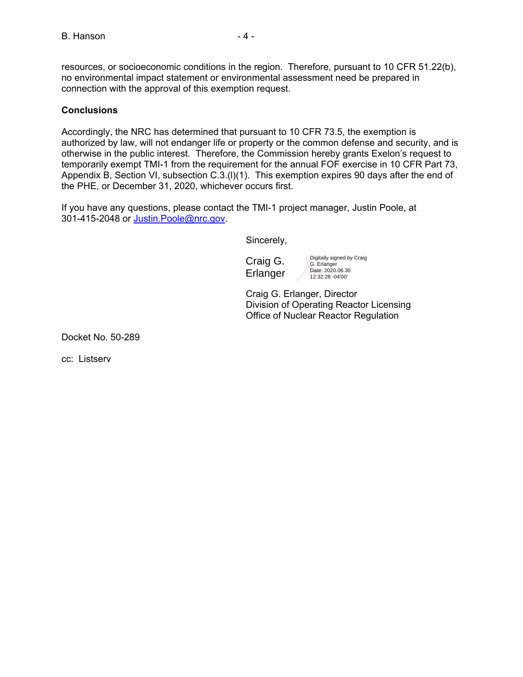resources, or socioeconomic conditions in the region. Therefore, pursuant to 10 CFR 51.22(b), no environmental impact statement or environmental assessment need be prepared in connection with the approval of this exemption request.

## **Conclusions**

Accordingly, the NRC has determined that pursuant to 10 CFR 73.5, the exemption is authorized by law, will not endanger life or property or the common defense and security, and is otherwise in the public interest. Therefore, the Commission hereby grants Exelon's request to temporarily exempt TMI-1 from the requirement for the annual FOF exercise in 10 CFR Part 73, Appendix B, Section VI, subsection C.3.(l)(1). This exemption expires 90 days after the end of the PHE, or December 31, 2020, whichever occurs first.

If you have any questions, please contact the TMI-1 project manager, Justin Poole, at 301-415-2048 or Justin.Poole@nrc.gov.

Sincerely,

Craig G. **Erlanger** 

Digitally signed by Craig G. Erlanger Date: 2020.06.30 12:32:28 -04'00'

Craig G. Erlanger, Director Division of Operating Reactor Licensing Office of Nuclear Reactor Regulation

Docket No. 50-289

cc: Listserv